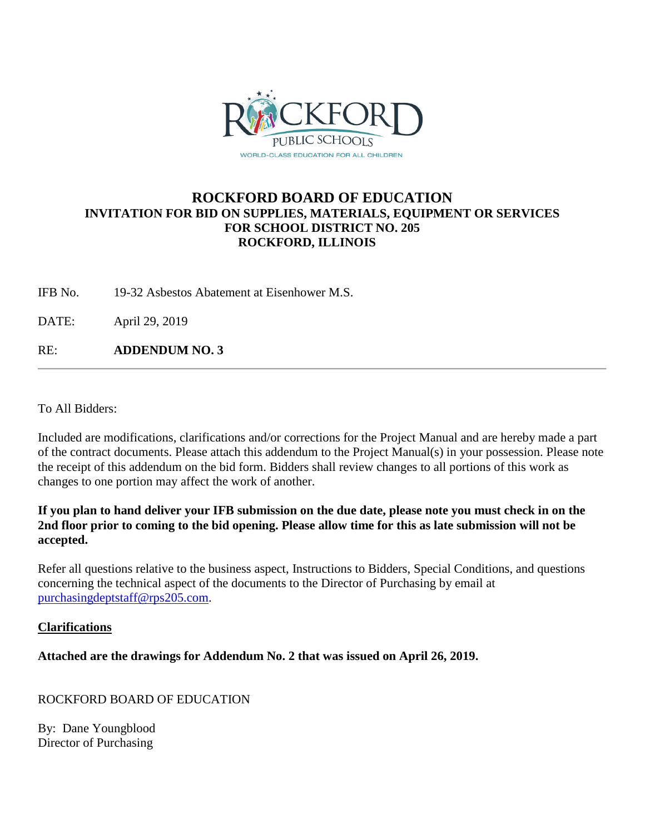

# **ROCKFORD BOARD OF EDUCATION INVITATION FOR BID ON SUPPLIES, MATERIALS, EQUIPMENT OR SERVICES FOR SCHOOL DISTRICT NO. 205 ROCKFORD, ILLINOIS**

IFB No. 19-32 Asbestos Abatement at Eisenhower M.S.

DATE: April 29, 2019

RE: **ADDENDUM NO. 3**

To All Bidders:

Included are modifications, clarifications and/or corrections for the Project Manual and are hereby made a part of the contract documents. Please attach this addendum to the Project Manual(s) in your possession. Please note the receipt of this addendum on the bid form. Bidders shall review changes to all portions of this work as changes to one portion may affect the work of another.

### **If you plan to hand deliver your IFB submission on the due date, please note you must check in on the 2nd floor prior to coming to the bid opening. Please allow time for this as late submission will not be accepted.**

Refer all questions relative to the business aspect, Instructions to Bidders, Special Conditions, and questions concerning the technical aspect of the documents to the Director of Purchasing by email at [purchasingdeptstaff@rps205.com.](mailto:purchasingdeptstaff@rps205.com)

## **Clarifications**

**Attached are the drawings for Addendum No. 2 that was issued on April 26, 2019.**

ROCKFORD BOARD OF EDUCATION

By: Dane Youngblood Director of Purchasing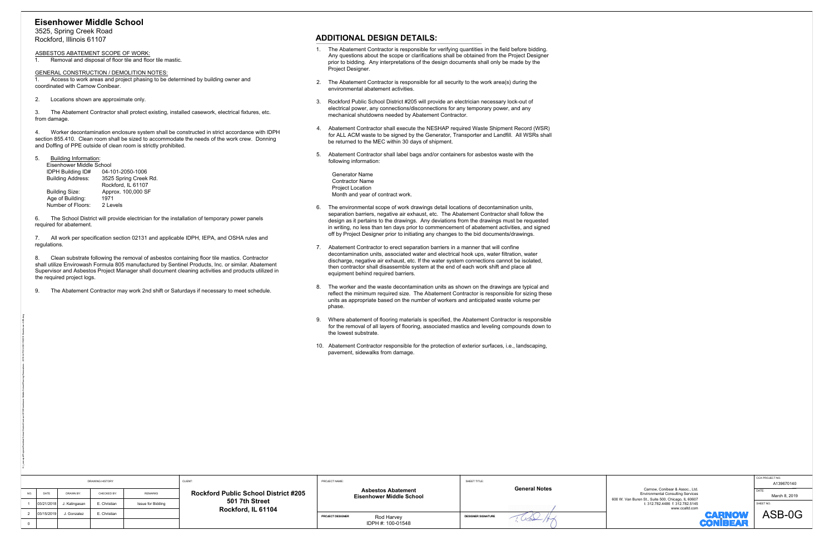| 5. |  | <b>Building Information</b> |
|----|--|-----------------------------|
|----|--|-----------------------------|

| Eisenhower Middle School |                      |
|--------------------------|----------------------|
| <b>IDPH Building ID#</b> | 04-101-2050-1006     |
| <b>Building Address:</b> | 3525 Spring Creek Ro |
|                          | Rockford. IL 61107   |
| Building Size:           | Approx. 100,000 SF   |
| Age of Building:         | 1971                 |
| Number of Floors:        | 2 Levels             |

- 
- 
- 
- 
- 

- 
- 
- 
- 
- 

| <b>Eisenhower Middle School</b>                                                      |                                                                                                         |                                                           |                                                                                                                                                                                                                                                                                                          |                                                                                                                                                                                                                                                                                                                                                                                    |                           |                                                                                       |                               |  |  |
|--------------------------------------------------------------------------------------|---------------------------------------------------------------------------------------------------------|-----------------------------------------------------------|----------------------------------------------------------------------------------------------------------------------------------------------------------------------------------------------------------------------------------------------------------------------------------------------------------|------------------------------------------------------------------------------------------------------------------------------------------------------------------------------------------------------------------------------------------------------------------------------------------------------------------------------------------------------------------------------------|---------------------------|---------------------------------------------------------------------------------------|-------------------------------|--|--|
| 3525, Spring Creek Road                                                              |                                                                                                         |                                                           |                                                                                                                                                                                                                                                                                                          |                                                                                                                                                                                                                                                                                                                                                                                    |                           |                                                                                       |                               |  |  |
| Rockford, Illinois 61107                                                             |                                                                                                         |                                                           |                                                                                                                                                                                                                                                                                                          | <b>ADDITIONAL DESIGN DETAILS:</b>                                                                                                                                                                                                                                                                                                                                                  |                           |                                                                                       |                               |  |  |
| ASBESTOS ABATEMENT SCOPE OF WORK:                                                    |                                                                                                         | Removal and disposal of floor tile and floor tile mastic. |                                                                                                                                                                                                                                                                                                          | 1. The Abatement Contractor is responsible for verifying quantities in the field before bidding.<br>Any questions about the scope or clarifications shall be obtained from the Project Designer<br>prior to bidding. Any interpretations of the design documents shall only be made by the<br>Project Designer.                                                                    |                           |                                                                                       |                               |  |  |
| <b>GENERAL CONSTRUCTION / DEMOLITION NOTES:</b><br>coordinated with Carnow Conibear. |                                                                                                         |                                                           | Access to work areas and project phasing to be determined by building owner and                                                                                                                                                                                                                          | 2. The Abatement Contractor is responsible for all security to the work area(s) during the<br>environmental abatement activities.                                                                                                                                                                                                                                                  |                           |                                                                                       |                               |  |  |
| Locations shown are approximate only.<br>2.                                          |                                                                                                         |                                                           |                                                                                                                                                                                                                                                                                                          |                                                                                                                                                                                                                                                                                                                                                                                    |                           |                                                                                       |                               |  |  |
| 3.<br>from damage.                                                                   |                                                                                                         |                                                           | The Abatement Contractor shall protect existing, installed casework, electrical fixtures, etc.                                                                                                                                                                                                           | Rockford Public School District #205 will provide an electrician necessary lock-out of<br>3.<br>electrical power, any connections/disconnections for any temporary power, and any<br>mechanical shutdowns needed by Abatement Contractor.                                                                                                                                          |                           |                                                                                       |                               |  |  |
| 4.<br>and Doffing of PPE outside of clean room is strictly prohibited.               |                                                                                                         |                                                           | Worker decontamination enclosure system shall be constructed in strict accordance with IDPH<br>section 855.410. Clean room shall be sized to accommodate the needs of the work crew. Donning                                                                                                             | Abatement Contractor shall execute the NESHAP required Waste Shipment Record (WSR)<br>for ALL ACM waste to be signed by the Generator, Transporter and Landfill. All WSRs shall<br>be returned to the MEC within 30 days of shipment.                                                                                                                                              |                           |                                                                                       |                               |  |  |
| <b>Building Information:</b><br>5<br>Eisenhower Middle School                        |                                                                                                         |                                                           |                                                                                                                                                                                                                                                                                                          | 5.<br>Abatement Contractor shall label bags and/or containers for asbestos waste with the<br>following information:                                                                                                                                                                                                                                                                |                           |                                                                                       |                               |  |  |
| <b>IDPH Building ID#</b><br><b>Building Address:</b>                                 | 04-101-2050-1006                                                                                        | 3525 Spring Creek Rd.                                     |                                                                                                                                                                                                                                                                                                          | <b>Generator Name</b>                                                                                                                                                                                                                                                                                                                                                              |                           |                                                                                       |                               |  |  |
|                                                                                      | Rockford, IL 61107                                                                                      |                                                           |                                                                                                                                                                                                                                                                                                          | <b>Contractor Name</b><br><b>Project Location</b>                                                                                                                                                                                                                                                                                                                                  |                           |                                                                                       |                               |  |  |
| Building Size:<br>Age of Building:                                                   | Approx. 100,000 SF<br>1971                                                                              |                                                           |                                                                                                                                                                                                                                                                                                          | Month and year of contract work.                                                                                                                                                                                                                                                                                                                                                   |                           |                                                                                       |                               |  |  |
| Number of Floors:<br>6.<br>required for abatement.                                   | 2 Levels<br>The School District will provide electrician for the installation of temporary power panels |                                                           |                                                                                                                                                                                                                                                                                                          | The environmental scope of work drawings detail locations of decontamination units,<br>6.<br>separation barriers, negative air exhaust, etc. The Abatement Contractor shall follow the<br>design as it pertains to the drawings. Any deviations from the drawings must be requested<br>in writing, no less than ten days prior to commencement of abatement activities, and signed |                           |                                                                                       |                               |  |  |
|                                                                                      |                                                                                                         |                                                           | 7. All work per specification section 02131 and applicable IDPH, IEPA, and OSHA rules and                                                                                                                                                                                                                | off by Project Designer prior to initiating any changes to the bid documents/drawings.                                                                                                                                                                                                                                                                                             |                           |                                                                                       |                               |  |  |
| regulations.                                                                         |                                                                                                         |                                                           |                                                                                                                                                                                                                                                                                                          | Abatement Contractor to erect separation barriers in a manner that will confine<br>7.                                                                                                                                                                                                                                                                                              |                           |                                                                                       |                               |  |  |
| 8.<br>the required project logs.                                                     |                                                                                                         |                                                           | Clean substrate following the removal of asbestos containing floor tile mastics. Contractor<br>shall utilize Envirowash Formula 805 manufactured by Sentinel Products, Inc. or similar. Abatement<br>Supervisor and Asbestos Project Manager shall document cleaning activities and products utilized in | decontamination units, associated water and electrical hook ups, water filtration, water<br>discharge, negative air exhaust, etc. If the water system connections cannot be isolated,<br>then contractor shall disassemble system at the end of each work shift and place all<br>equipment behind required barriers.                                                               |                           |                                                                                       |                               |  |  |
|                                                                                      |                                                                                                         |                                                           | The Abatement Contractor may work 2nd shift or Saturdays if necessary to meet schedule.                                                                                                                                                                                                                  | 8.<br>The worker and the waste decontamination units as shown on the drawings are typical and<br>reflect the minimum required size. The Abatement Contractor is responsible for sizing these<br>units as appropriate based on the number of workers and anticipated waste volume per<br>phase.                                                                                     |                           |                                                                                       |                               |  |  |
|                                                                                      |                                                                                                         |                                                           |                                                                                                                                                                                                                                                                                                          | Where abatement of flooring materials is specified, the Abatement Contractor is responsible<br>9.<br>for the removal of all layers of flooring, associated mastics and leveling compounds down to<br>the lowest substrate.                                                                                                                                                         |                           |                                                                                       |                               |  |  |
|                                                                                      |                                                                                                         |                                                           |                                                                                                                                                                                                                                                                                                          | 10. Abatement Contractor responsible for the protection of exterior surfaces, i.e., landscaping,<br>pavement, sidewalks from damage.                                                                                                                                                                                                                                               |                           |                                                                                       |                               |  |  |
|                                                                                      |                                                                                                         |                                                           |                                                                                                                                                                                                                                                                                                          |                                                                                                                                                                                                                                                                                                                                                                                    |                           |                                                                                       |                               |  |  |
|                                                                                      |                                                                                                         |                                                           |                                                                                                                                                                                                                                                                                                          |                                                                                                                                                                                                                                                                                                                                                                                    |                           |                                                                                       |                               |  |  |
|                                                                                      |                                                                                                         |                                                           |                                                                                                                                                                                                                                                                                                          |                                                                                                                                                                                                                                                                                                                                                                                    |                           |                                                                                       |                               |  |  |
|                                                                                      |                                                                                                         |                                                           |                                                                                                                                                                                                                                                                                                          |                                                                                                                                                                                                                                                                                                                                                                                    |                           |                                                                                       |                               |  |  |
|                                                                                      |                                                                                                         |                                                           |                                                                                                                                                                                                                                                                                                          |                                                                                                                                                                                                                                                                                                                                                                                    |                           |                                                                                       |                               |  |  |
|                                                                                      |                                                                                                         |                                                           |                                                                                                                                                                                                                                                                                                          |                                                                                                                                                                                                                                                                                                                                                                                    |                           |                                                                                       |                               |  |  |
|                                                                                      |                                                                                                         |                                                           |                                                                                                                                                                                                                                                                                                          |                                                                                                                                                                                                                                                                                                                                                                                    |                           |                                                                                       |                               |  |  |
|                                                                                      |                                                                                                         |                                                           |                                                                                                                                                                                                                                                                                                          |                                                                                                                                                                                                                                                                                                                                                                                    |                           |                                                                                       |                               |  |  |
|                                                                                      | <b>DRAWING HISTORY</b>                                                                                  |                                                           | CLIENT:                                                                                                                                                                                                                                                                                                  | PROJECT NAME:                                                                                                                                                                                                                                                                                                                                                                      | SHEET TITLE:              |                                                                                       | CCA PROJECT NO.<br>A139670140 |  |  |
| NO.<br>DATE<br>DRAWN BY                                                              | CHECKED BY                                                                                              | <b>REMARKS</b>                                            | <b>Rockford Public School District #205</b>                                                                                                                                                                                                                                                              | <b>Asbestos Abatement</b>                                                                                                                                                                                                                                                                                                                                                          | <b>General Notes</b>      | Carnow, Conibear & Assoc., Ltd.<br><b>Environmental Consulting Services</b>           | DATE<br>March 8, 2019         |  |  |
| 03/21/2018<br>$\overline{1}$<br>J. Kalingasan                                        | E. Christian                                                                                            | Issue for Bidding                                         | 501 7th Street                                                                                                                                                                                                                                                                                           | <b>Eisenhower Middle School</b>                                                                                                                                                                                                                                                                                                                                                    |                           | 600 W. Van Buren St., Suite 500, Chicago, IL 60607<br>t: 312.782.4486 f: 312.782.5145 | SHEET NO.                     |  |  |
| $\overline{2}$<br>03/15/2019<br>J. Gonzalez                                          | E. Christian                                                                                            |                                                           | Rockford, IL 61104                                                                                                                                                                                                                                                                                       | PROJECT DESIGNER                                                                                                                                                                                                                                                                                                                                                                   | <b>DESIGNER SIGNATURE</b> | www.ccaltd.com<br><b>CARNOW</b>                                                       | ASB-0G                        |  |  |
| $\overline{0}$                                                                       |                                                                                                         |                                                           |                                                                                                                                                                                                                                                                                                          | Rod Harvey<br>IDPH #: 100-01548                                                                                                                                                                                                                                                                                                                                                    |                           | <b>CONIBEAR</b>                                                                       |                               |  |  |
|                                                                                      |                                                                                                         |                                                           |                                                                                                                                                                                                                                                                                                          |                                                                                                                                                                                                                                                                                                                                                                                    |                           |                                                                                       |                               |  |  |



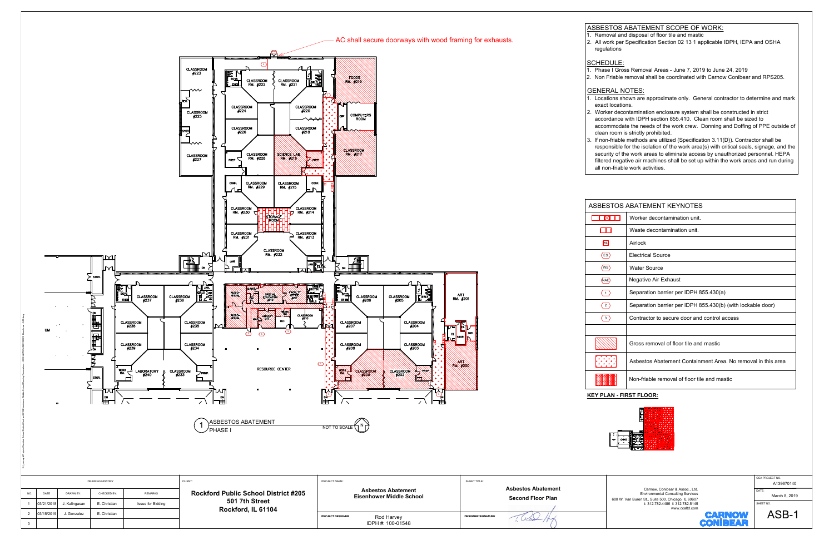

- 
- 
- 

| TOS ABATEMENT KEYNOTES |                                                              |  |
|------------------------|--------------------------------------------------------------|--|
|                        | Worker decontamination unit.                                 |  |
|                        | Waste decontamination unit.                                  |  |
|                        | Airlock                                                      |  |
|                        | <b>Electrical Source</b>                                     |  |
|                        | <b>Water Source</b>                                          |  |
|                        | Negative Air Exhaust                                         |  |
|                        | Separation barrier per IDPH 855.430(a)                       |  |
|                        | Separation barrier per IDPH 855.430(b) (with lockable door)  |  |
|                        | Contractor to secure door and control access                 |  |
|                        |                                                              |  |
|                        | Gross removal of floor tile and mastic                       |  |
| $\ddot{\phantom{0}}$   | Asbestos Abatement Containment Area. No removal in this area |  |
|                        | Non-friable removal of floor tile and mastic                 |  |
|                        |                                                              |  |